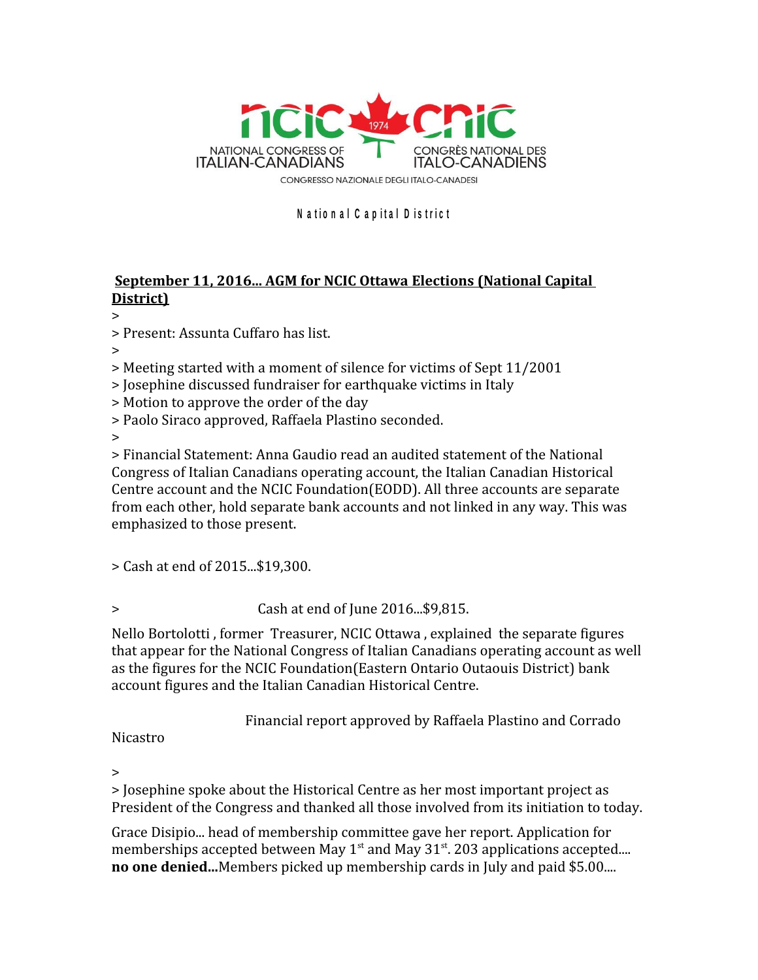

## **<sup>N</sup> <sup>a</sup> <sup>t</sup> <sup>i</sup> o n <sup>a</sup> <sup>l</sup> <sup>C</sup> <sup>a</sup> p i t <sup>a</sup> <sup>l</sup> <sup>D</sup> <sup>i</sup> <sup>s</sup> <sup>t</sup> r i <sup>c</sup> <sup>t</sup>**

## **September 11, 2016... AGM for NCIC Ottawa Elections (National Capital District)**

>

> Present: Assunta Cuffaro has list.

>

> Meeting started with a moment of silence for victims of Sept 11/2001

> Josephine discussed fundraiser for earthquake victims in Italy

> Motion to approve the order of the day

> Paolo Siraco approved, Raffaela Plastino seconded.

>

> Financial Statement: Anna Gaudio read an audited statement of the National Congress of Italian Canadians operating account, the Italian Canadian Historical Centre account and the NCIC Foundation(EODD). All three accounts are separate from each other, hold separate bank accounts and not linked in any way. This was emphasized to those present.

> Cash at end of 2015...\$19,300.

> Cash at end of June 2016...\$9,815.

Nello Bortolotti , former Treasurer, NCIC Ottawa , explained the separate figures that appear for the National Congress of Italian Canadians operating account as well as the figures for the NCIC Foundation(Eastern Ontario Outaouis District) bank account figures and the Italian Canadian Historical Centre.

Financial report approved by Raffaela Plastino and Corrado

Nicastro

>

> Josephine spoke about the Historical Centre as her most important project as President of the Congress and thanked all those involved from its initiation to today.

Grace Disipio... head of membership committee gave her report. Application for memberships accepted between May  $1<sup>st</sup>$  and May 31 $<sup>st</sup>$ . 203 applications accepted....</sup> **no one denied...**Members picked up membership cards in July and paid \$5.00....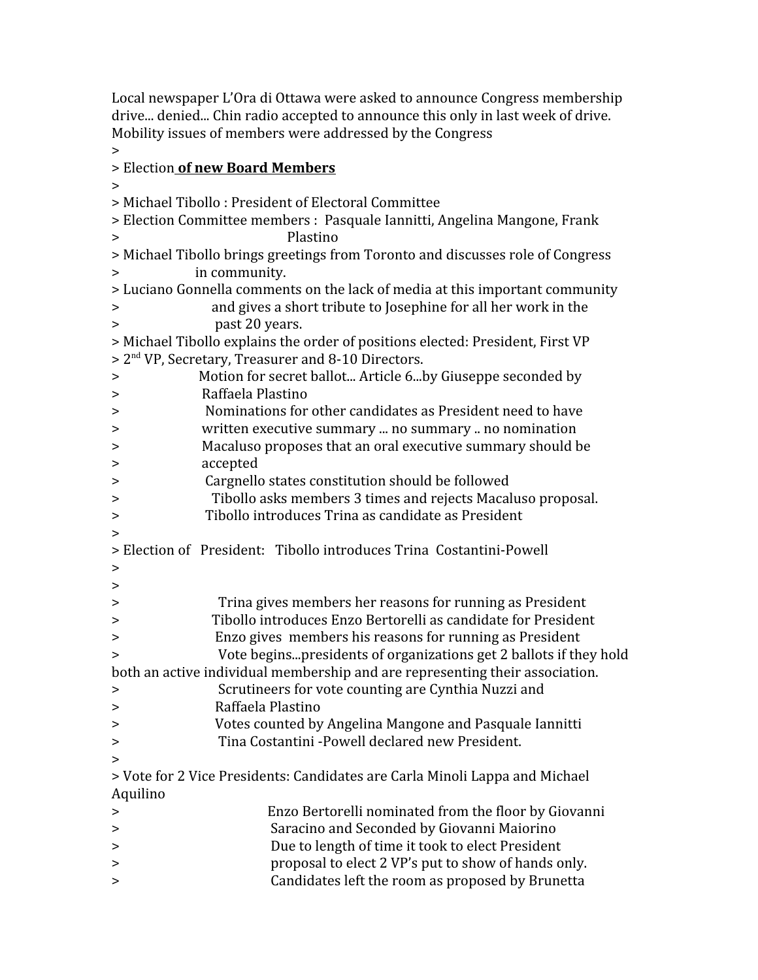Local newspaper L'Ora di Ottawa were asked to announce Congress membership drive... denied... Chin radio accepted to announce this only in last week of drive. Mobility issues of members were addressed by the Congress

>

## > Election **of new Board Members**

> > Michael Tibollo : President of Electoral Committee

> Election Committee members : Pasquale Iannitti, Angelina Mangone, Frank > Plastino

> Michael Tibollo brings greetings from Toronto and discusses role of Congress > in community.

> Luciano Gonnella comments on the lack of media at this important community

> and gives a short tribute to Josephine for all her work in the > past 20 years.

| > Michael Tibollo explains the order of positions elected: President, First VP |
|--------------------------------------------------------------------------------|
| > 2 <sup>nd</sup> VP, Secretary, Treasurer and 8-10 Directors.                 |

| $\geq$                                                                       | Motion for secret ballot Article 6by Giuseppe seconded by                   |  |  |  |
|------------------------------------------------------------------------------|-----------------------------------------------------------------------------|--|--|--|
| $\geq$                                                                       | Raffaela Plastino                                                           |  |  |  |
| $\geq$                                                                       | Nominations for other candidates as President need to have                  |  |  |  |
| >                                                                            | written executive summary  no summary  no nomination                        |  |  |  |
| >                                                                            | Macaluso proposes that an oral executive summary should be                  |  |  |  |
| >                                                                            | accepted                                                                    |  |  |  |
| >                                                                            | Cargnello states constitution should be followed                            |  |  |  |
| >                                                                            | Tibollo asks members 3 times and rejects Macaluso proposal.                 |  |  |  |
| >                                                                            | Tibollo introduces Trina as candidate as President                          |  |  |  |
| $\geq$                                                                       |                                                                             |  |  |  |
|                                                                              | > Election of President: Tibollo introduces Trina Costantini-Powell         |  |  |  |
| >                                                                            |                                                                             |  |  |  |
| >                                                                            |                                                                             |  |  |  |
| >                                                                            | Trina gives members her reasons for running as President                    |  |  |  |
| >                                                                            | Tibollo introduces Enzo Bertorelli as candidate for President               |  |  |  |
| >                                                                            | Enzo gives members his reasons for running as President                     |  |  |  |
| >                                                                            | Vote beginspresidents of organizations get 2 ballots if they hold           |  |  |  |
| both an active individual membership and are representing their association. |                                                                             |  |  |  |
| >                                                                            | Scrutineers for vote counting are Cynthia Nuzzi and                         |  |  |  |
| >                                                                            | Raffaela Plastino                                                           |  |  |  |
| >                                                                            | Votes counted by Angelina Mangone and Pasquale Iannitti                     |  |  |  |
| >                                                                            | Tina Costantini - Powell declared new President.                            |  |  |  |
| >                                                                            |                                                                             |  |  |  |
|                                                                              | > Vote for 2 Vice Presidents: Candidates are Carla Minoli Lappa and Michael |  |  |  |
| Aquilino                                                                     |                                                                             |  |  |  |
| >                                                                            | Enzo Bertorelli nominated from the floor by Giovanni                        |  |  |  |
| >                                                                            | Saracino and Seconded by Giovanni Maiorino                                  |  |  |  |
| >                                                                            | Due to length of time it took to elect President                            |  |  |  |
| >                                                                            | proposal to elect 2 VP's put to show of hands only.                         |  |  |  |
| >                                                                            | Candidates left the room as proposed by Brunetta                            |  |  |  |